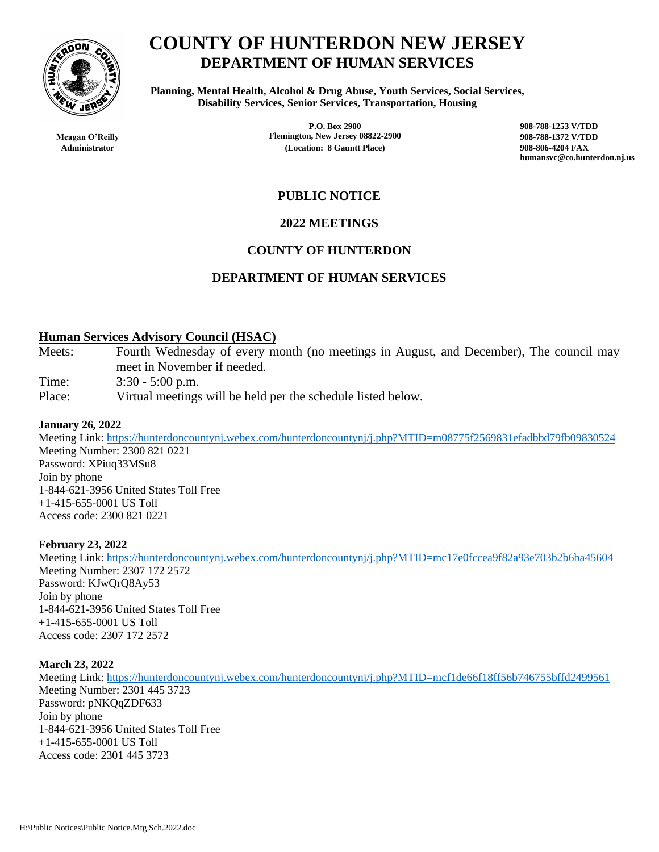

**COUNTY OF HUNTERDON NEW JERSEY DEPARTMENT OF HUMAN SERVICES**

**Planning, Mental Health, Alcohol & Drug Abuse, Youth Services, Social Services, Disability Services, Senior Services, Transportation, Housing**

**Meagan O'Reilly Flemington, New Jersey 08822-2900 908-788-1372 V/TDD Administrator (Location: 8 Gauntt Place) 908-806-4204 FAX**

**P.O. Box 2900 908-788-1253 V/TDD humansvc@co.hunterdon.nj.us**

# **PUBLIC NOTICE**

# **2022 MEETINGS**

# **COUNTY OF HUNTERDON**

# **DEPARTMENT OF HUMAN SERVICES**

## **Human Services Advisory Council (HSAC)**

Meets: Fourth Wednesday of every month (no meetings in August, and December), The council may meet in November if needed.

Time: 3:30 - 5:00 p.m.

Place: Virtual meetings will be held per the schedule listed below.

### **January 26, 2022**

Meeting Link:<https://hunterdoncountynj.webex.com/hunterdoncountynj/j.php?MTID=m08775f2569831efadbbd79fb09830524> Meeting Number: 2300 821 0221 Password: XPiuq33MSu8 Join by phone 1-844-621-3956 United States Toll Free +1-415-655-0001 US Toll Access code: 2300 821 0221

### **February 23, 2022**

Meeting Link:<https://hunterdoncountynj.webex.com/hunterdoncountynj/j.php?MTID=mc17e0fccea9f82a93e703b2b6ba45604> Meeting Number: 2307 172 2572 Password: KJwQrQ8Ay53 Join by phone 1-844-621-3956 United States Toll Free +1-415-655-0001 US Toll Access code: 2307 172 2572

### **March 23, 2022**

Meeting Link:<https://hunterdoncountynj.webex.com/hunterdoncountynj/j.php?MTID=mcf1de66f18ff56b746755bffd2499561> Meeting Number: 2301 445 3723 Password: pNKQqZDF633 Join by phone 1-844-621-3956 United States Toll Free +1-415-655-0001 US Toll Access code: 2301 445 3723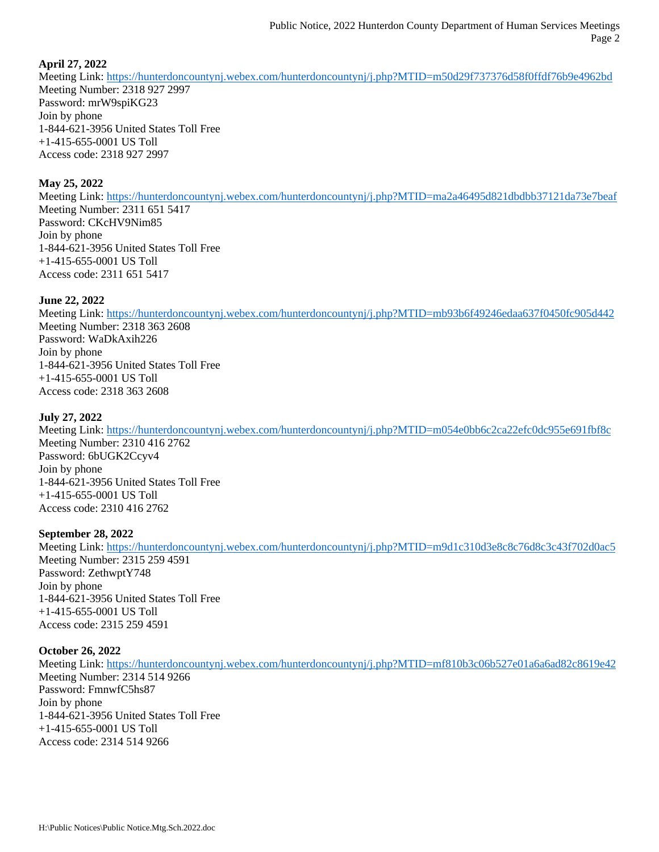### **April 27, 2022**

Meeting Link:<https://hunterdoncountynj.webex.com/hunterdoncountynj/j.php?MTID=m50d29f737376d58f0ffdf76b9e4962bd> Meeting Number: 2318 927 2997 Password: mrW9spiKG23 Join by phone 1-844-621-3956 United States Toll Free +1-415-655-0001 US Toll Access code: 2318 927 2997

### **May 25, 2022**

Meeting Link:<https://hunterdoncountynj.webex.com/hunterdoncountynj/j.php?MTID=ma2a46495d821dbdbb37121da73e7beaf> Meeting Number: 2311 651 5417 Password: CKcHV9Nim85 Join by phone 1-844-621-3956 United States Toll Free +1-415-655-0001 US Toll Access code: 2311 651 5417

### **June 22, 2022**

Meeting Link:<https://hunterdoncountynj.webex.com/hunterdoncountynj/j.php?MTID=mb93b6f49246edaa637f0450fc905d442> Meeting Number: 2318 363 2608 Password: WaDkAxih226 Join by phone 1-844-621-3956 United States Toll Free +1-415-655-0001 US Toll Access code: 2318 363 2608

### **July 27, 2022**

Meeting Link: <https://hunterdoncountynj.webex.com/hunterdoncountynj/j.php?MTID=m054e0bb6c2ca22efc0dc955e691fbf8c> Meeting Number: 2310 416 2762 Password: 6bUGK2Ccyv4 Join by phone 1-844-621-3956 United States Toll Free +1-415-655-0001 US Toll Access code: 2310 416 2762

#### **September 28, 2022**

Meeting Link:<https://hunterdoncountynj.webex.com/hunterdoncountynj/j.php?MTID=m9d1c310d3e8c8c76d8c3c43f702d0ac5> Meeting Number: 2315 259 4591 Password: ZethwptY748 Join by phone 1-844-621-3956 United States Toll Free +1-415-655-0001 US Toll Access code: 2315 259 4591

#### **October 26, 2022**

Meeting Link:<https://hunterdoncountynj.webex.com/hunterdoncountynj/j.php?MTID=mf810b3c06b527e01a6a6ad82c8619e42> Meeting Number: 2314 514 9266 Password: FmnwfC5hs87 Join by phone 1-844-621-3956 United States Toll Free +1-415-655-0001 US Toll Access code: 2314 514 9266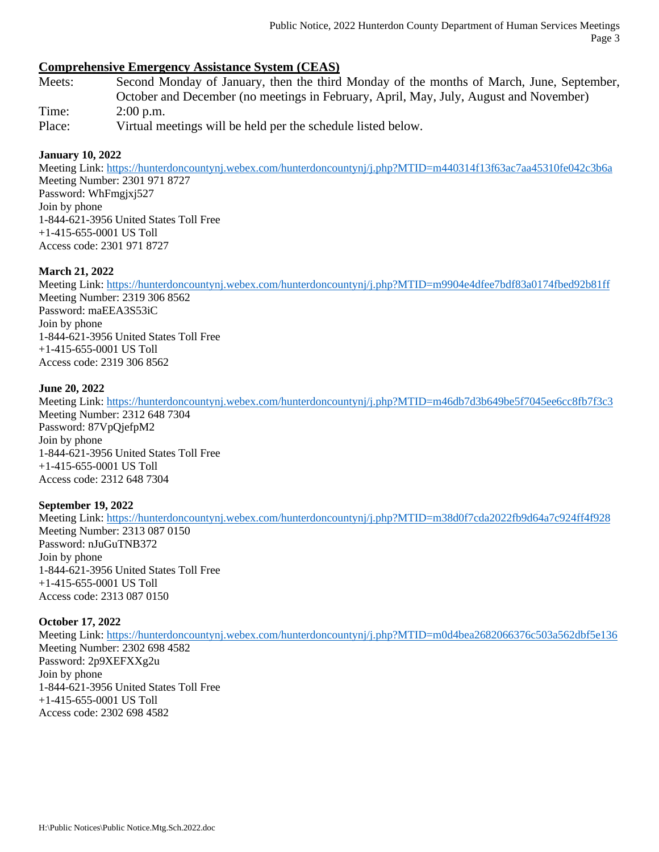# **Comprehensive Emergency Assistance System (CEAS)**

- Meets: Second Monday of January, then the third Monday of the months of March, June, September, October and December (no meetings in February, April, May, July, August and November) Time: 2:00 p.m.
- Place: Virtual meetings will be held per the schedule listed below.

### **January 10, 2022**

Meeting Link: <https://hunterdoncountynj.webex.com/hunterdoncountynj/j.php?MTID=m440314f13f63ac7aa45310fe042c3b6a> Meeting Number: 2301 971 8727 Password: WhFmgjxj527 Join by phone 1-844-621-3956 United States Toll Free +1-415-655-0001 US Toll Access code: 2301 971 8727

### **March 21, 2022**

Meeting Link: <https://hunterdoncountynj.webex.com/hunterdoncountynj/j.php?MTID=m9904e4dfee7bdf83a0174fbed92b81ff> Meeting Number: 2319 306 8562 Password: maEEA3S53iC Join by phone 1-844-621-3956 United States Toll Free +1-415-655-0001 US Toll Access code: 2319 306 8562

### **June 20, 2022**

Meeting Link: <https://hunterdoncountynj.webex.com/hunterdoncountynj/j.php?MTID=m46db7d3b649be5f7045ee6cc8fb7f3c3> Meeting Number: 2312 648 7304 Password: 87VpQjefpM2 Join by phone 1-844-621-3956 United States Toll Free +1-415-655-0001 US Toll Access code: 2312 648 7304

### **September 19, 2022**

Meeting Link: <https://hunterdoncountynj.webex.com/hunterdoncountynj/j.php?MTID=m38d0f7cda2022fb9d64a7c924ff4f928> Meeting Number: 2313 087 0150 Password: nJuGuTNB372 Join by phone 1-844-621-3956 United States Toll Free  $+1-415-655-0001$  US Toll Access code: 2313 087 0150

### **October 17, 2022**

Meeting Link:<https://hunterdoncountynj.webex.com/hunterdoncountynj/j.php?MTID=m0d4bea2682066376c503a562dbf5e136> Meeting Number: 2302 698 4582 Password: 2p9XEFXXg2u Join by phone 1-844-621-3956 United States Toll Free +1-415-655-0001 US Toll Access code: 2302 698 4582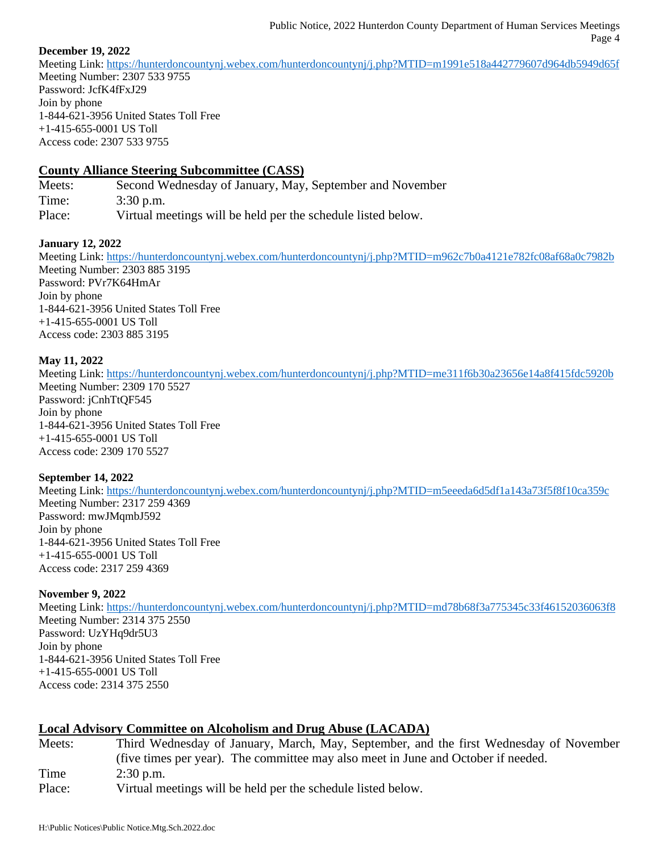## **December 19, 2022**

Meeting Link:<https://hunterdoncountynj.webex.com/hunterdoncountynj/j.php?MTID=m1991e518a442779607d964db5949d65f> Meeting Number: 2307 533 9755 Password: JcfK4fFxJ29 Join by phone 1-844-621-3956 United States Toll Free +1-415-655-0001 US Toll Access code: 2307 533 9755

# **County Alliance Steering Subcommittee (CASS)**

Meets: Second Wednesday of January, May, September and November Time: 3:30 p.m. Place: Virtual meetings will be held per the schedule listed below.

### **January 12, 2022**

Meeting Link:<https://hunterdoncountynj.webex.com/hunterdoncountynj/j.php?MTID=m962c7b0a4121e782fc08af68a0c7982b> Meeting Number: 2303 885 3195 Password: PVr7K64HmAr Join by phone 1-844-621-3956 United States Toll Free +1-415-655-0001 US Toll Access code: 2303 885 3195

### **May 11, 2022**

Meeting Link:<https://hunterdoncountynj.webex.com/hunterdoncountynj/j.php?MTID=me311f6b30a23656e14a8f415fdc5920b> Meeting Number: 2309 170 5527 Password: jCnhTtQF545 Join by phone 1-844-621-3956 United States Toll Free +1-415-655-0001 US Toll Access code: 2309 170 5527

### **September 14, 2022**

Meeting Link:<https://hunterdoncountynj.webex.com/hunterdoncountynj/j.php?MTID=m5eeeda6d5df1a143a73f5f8f10ca359c> Meeting Number: 2317 259 4369 Password: mwJMqmbJ592 Join by phone 1-844-621-3956 United States Toll Free +1-415-655-0001 US Toll Access code: 2317 259 4369

### **November 9, 2022**

Meeting Link:<https://hunterdoncountynj.webex.com/hunterdoncountynj/j.php?MTID=md78b68f3a775345c33f46152036063f8> Meeting Number: 2314 375 2550 Password: UzYHq9dr5U3 Join by phone 1-844-621-3956 United States Toll Free +1-415-655-0001 US Toll Access code: 2314 375 2550

# **Local Advisory Committee on Alcoholism and Drug Abuse (LACADA)**

Meets: Third Wednesday of January, March, May, September, and the first Wednesday of November (five times per year). The committee may also meet in June and October if needed. Time 2:30 p.m. Place: Virtual meetings will be held per the schedule listed below.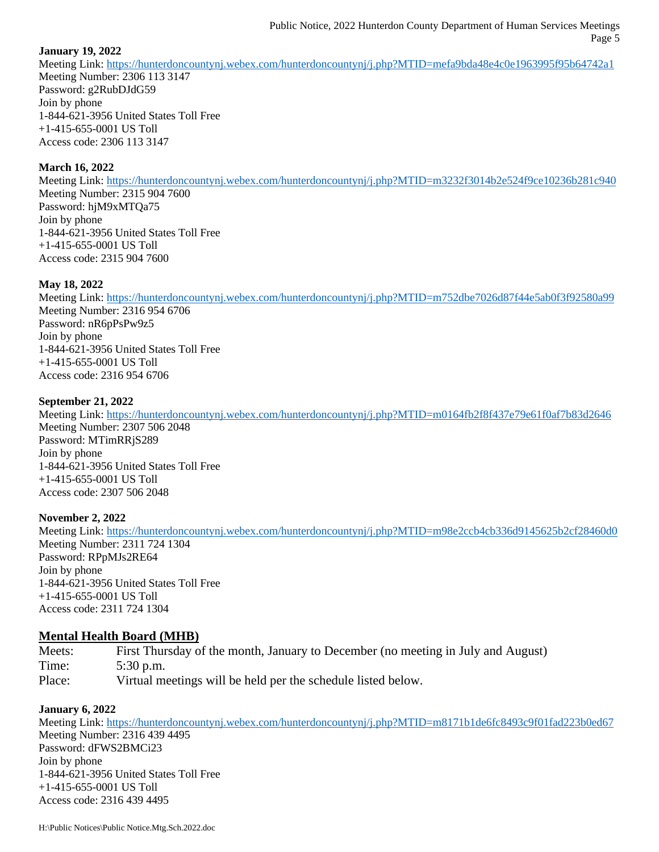## **January 19, 2022**

Meeting Link:<https://hunterdoncountynj.webex.com/hunterdoncountynj/j.php?MTID=mefa9bda48e4c0e1963995f95b64742a1> Meeting Number: 2306 113 3147 Password: g2RubDJdG59 Join by phone 1-844-621-3956 United States Toll Free +1-415-655-0001 US Toll Access code: 2306 113 3147

## **March 16, 2022**

Meeting Link:<https://hunterdoncountynj.webex.com/hunterdoncountynj/j.php?MTID=m3232f3014b2e524f9ce10236b281c940> Meeting Number: 2315 904 7600 Password: hjM9xMTQa75 Join by phone 1-844-621-3956 United States Toll Free +1-415-655-0001 US Toll Access code: 2315 904 7600

## **May 18, 2022**

Meeting Link:<https://hunterdoncountynj.webex.com/hunterdoncountynj/j.php?MTID=m752dbe7026d87f44e5ab0f3f92580a99> Meeting Number: 2316 954 6706 Password: nR6pPsPw9z5 Join by phone 1-844-621-3956 United States Toll Free +1-415-655-0001 US Toll Access code: 2316 954 6706

### **September 21, 2022**

Meeting Link:<https://hunterdoncountynj.webex.com/hunterdoncountynj/j.php?MTID=m0164fb2f8f437e79e61f0af7b83d2646> Meeting Number: 2307 506 2048 Password: MTimRRjS289 Join by phone 1-844-621-3956 United States Toll Free +1-415-655-0001 US Toll Access code: 2307 506 2048

### **November 2, 2022**

Meeting Link:<https://hunterdoncountynj.webex.com/hunterdoncountynj/j.php?MTID=m98e2ccb4cb336d9145625b2cf28460d0> Meeting Number: 2311 724 1304 Password: RPpMJs2RE64 Join by phone 1-844-621-3956 United States Toll Free +1-415-655-0001 US Toll Access code: 2311 724 1304

# **Mental Health Board (MHB)**

Meets: First Thursday of the month, January to December (no meeting in July and August) Time: 5:30 p.m. Place: Virtual meetings will be held per the schedule listed below.

### **January 6, 2022**

Meeting Link:<https://hunterdoncountynj.webex.com/hunterdoncountynj/j.php?MTID=m8171b1de6fc8493c9f01fad223b0ed67> Meeting Number: 2316 439 4495 Password: dFWS2BMCi23 Join by phone 1-844-621-3956 United States Toll Free +1-415-655-0001 US Toll Access code: 2316 439 4495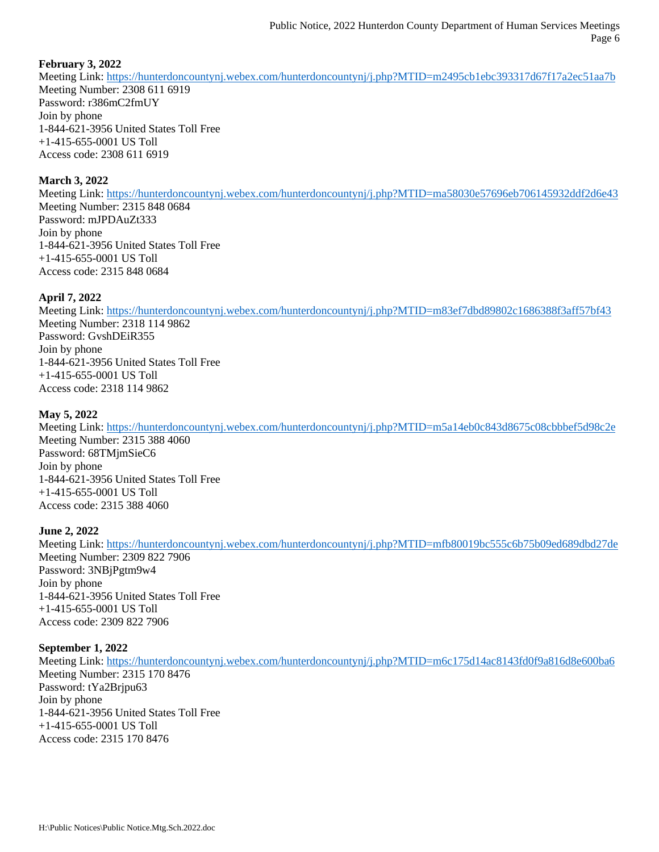## **February 3, 2022**

Meeting Link:<https://hunterdoncountynj.webex.com/hunterdoncountynj/j.php?MTID=m2495cb1ebc393317d67f17a2ec51aa7b> Meeting Number: 2308 611 6919 Password: r386mC2fmUY Join by phone 1-844-621-3956 United States Toll Free +1-415-655-0001 US Toll Access code: 2308 611 6919

### **March 3, 2022**

Meeting Link:<https://hunterdoncountynj.webex.com/hunterdoncountynj/j.php?MTID=ma58030e57696eb706145932ddf2d6e43> Meeting Number: 2315 848 0684 Password: mJPDAuZt333 Join by phone 1-844-621-3956 United States Toll Free +1-415-655-0001 US Toll Access code: 2315 848 0684

### **April 7, 2022**

Meeting Link:<https://hunterdoncountynj.webex.com/hunterdoncountynj/j.php?MTID=m83ef7dbd89802c1686388f3aff57bf43> Meeting Number: 2318 114 9862 Password: GvshDEiR355 Join by phone 1-844-621-3956 United States Toll Free +1-415-655-0001 US Toll Access code: 2318 114 9862

## **May 5, 2022**

Meeting Link:<https://hunterdoncountynj.webex.com/hunterdoncountynj/j.php?MTID=m5a14eb0c843d8675c08cbbbef5d98c2e> Meeting Number: 2315 388 4060 Password: 68TMjmSieC6 Join by phone 1-844-621-3956 United States Toll Free +1-415-655-0001 US Toll Access code: 2315 388 4060

### **June 2, 2022**

Meeting Link:<https://hunterdoncountynj.webex.com/hunterdoncountynj/j.php?MTID=mfb80019bc555c6b75b09ed689dbd27de> Meeting Number: 2309 822 7906 Password: 3NBjPgtm9w4 Join by phone 1-844-621-3956 United States Toll Free +1-415-655-0001 US Toll Access code: 2309 822 7906

### **September 1, 2022**

Meeting Link:<https://hunterdoncountynj.webex.com/hunterdoncountynj/j.php?MTID=m6c175d14ac8143fd0f9a816d8e600ba6> Meeting Number: 2315 170 8476 Password: tYa2Brjpu63 Join by phone 1-844-621-3956 United States Toll Free +1-415-655-0001 US Toll Access code: 2315 170 8476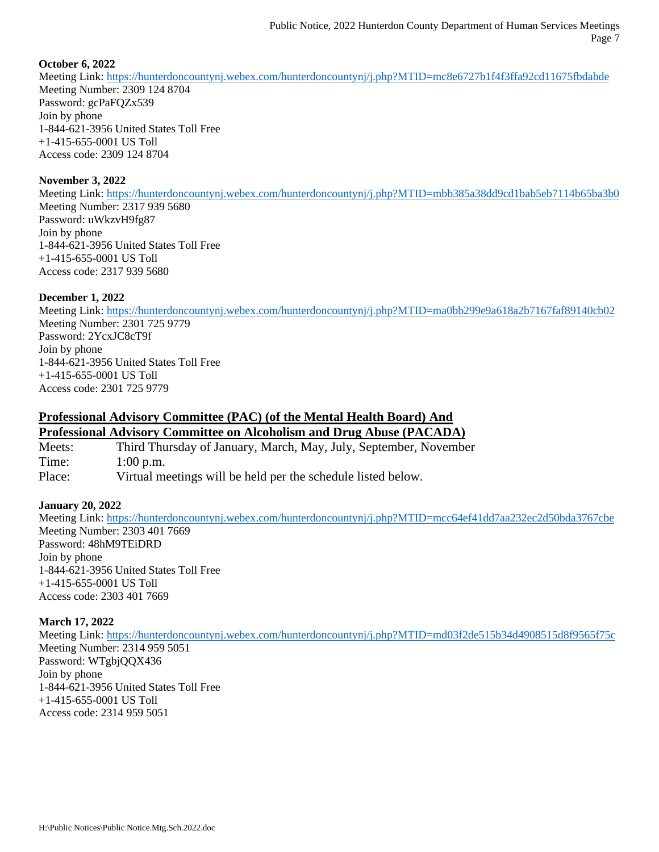## **October 6, 2022**

Meeting Link:<https://hunterdoncountynj.webex.com/hunterdoncountynj/j.php?MTID=mc8e6727b1f4f3ffa92cd11675fbdabde> Meeting Number: 2309 124 8704 Password: gcPaFQZx539 Join by phone 1-844-621-3956 United States Toll Free +1-415-655-0001 US Toll Access code: 2309 124 8704

### **November 3, 2022**

Meeting Link:<https://hunterdoncountynj.webex.com/hunterdoncountynj/j.php?MTID=mbb385a38dd9cd1bab5eb7114b65ba3b0> Meeting Number: 2317 939 5680 Password: uWkzvH9fg87 Join by phone 1-844-621-3956 United States Toll Free +1-415-655-0001 US Toll Access code: 2317 939 5680

### **December 1, 2022**

Meeting Link: <https://hunterdoncountynj.webex.com/hunterdoncountynj/j.php?MTID=ma0bb299e9a618a2b7167faf89140cb02> Meeting Number: 2301 725 9779 Password: 2YcxJC8cT9f Join by phone 1-844-621-3956 United States Toll Free +1-415-655-0001 US Toll Access code: 2301 725 9779

# **Professional Advisory Committee (PAC) (of the Mental Health Board) And Professional Advisory Committee on Alcoholism and Drug Abuse (PACADA)**

Meets: Third Thursday of January, March, May, July, September, November Time: 1:00 p.m. Place: Virtual meetings will be held per the schedule listed below.

### **January 20, 2022**

Meeting Link:<https://hunterdoncountynj.webex.com/hunterdoncountynj/j.php?MTID=mcc64ef41dd7aa232ec2d50bda3767cbe> Meeting Number: 2303 401 7669 Password: 48hM9TEiDRD Join by phone 1-844-621-3956 United States Toll Free  $+1-415-655-0001$  US Toll Access code: 2303 401 7669

### **March 17, 2022**

Meeting Link:<https://hunterdoncountynj.webex.com/hunterdoncountynj/j.php?MTID=md03f2de515b34d4908515d8f9565f75c> Meeting Number: 2314 959 5051 Password: WTgbjQQX436 Join by phone 1-844-621-3956 United States Toll Free +1-415-655-0001 US Toll Access code: 2314 959 5051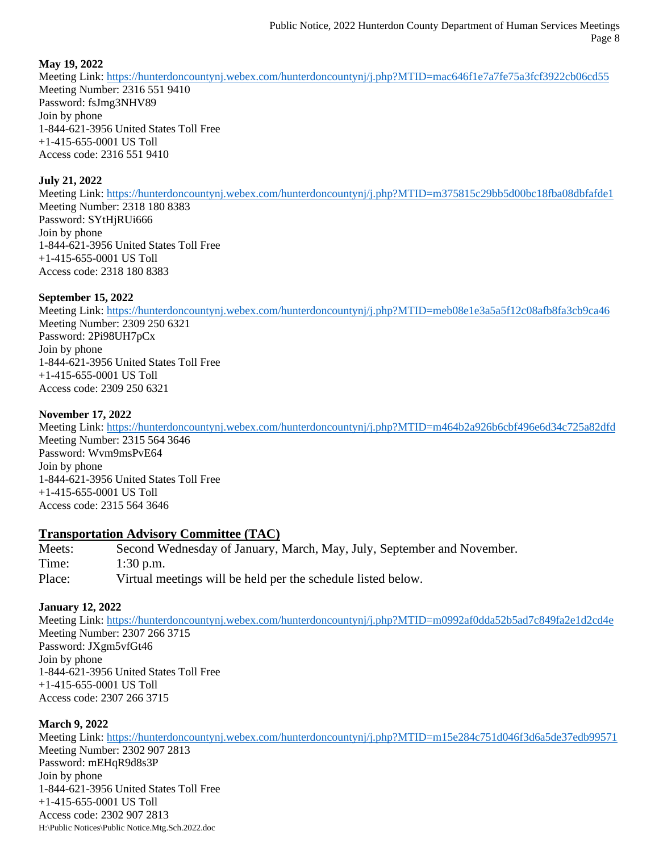## **May 19, 2022**

Meeting Link:<https://hunterdoncountynj.webex.com/hunterdoncountynj/j.php?MTID=mac646f1e7a7fe75a3fcf3922cb06cd55> Meeting Number: 2316 551 9410 Password: fsJmg3NHV89 Join by phone 1-844-621-3956 United States Toll Free +1-415-655-0001 US Toll Access code: 2316 551 9410

## **July 21, 2022**

Meeting Link: <https://hunterdoncountynj.webex.com/hunterdoncountynj/j.php?MTID=m375815c29bb5d00bc18fba08dbfafde1> Meeting Number: 2318 180 8383 Password: SYtHjRUi666 Join by phone 1-844-621-3956 United States Toll Free +1-415-655-0001 US Toll Access code: 2318 180 8383

### **September 15, 2022**

Meeting Link:<https://hunterdoncountynj.webex.com/hunterdoncountynj/j.php?MTID=meb08e1e3a5a5f12c08afb8fa3cb9ca46> Meeting Number: 2309 250 6321 Password: 2Pi98UH7pCx Join by phone 1-844-621-3956 United States Toll Free +1-415-655-0001 US Toll Access code: 2309 250 6321

## **November 17, 2022**

Meeting Link:<https://hunterdoncountynj.webex.com/hunterdoncountynj/j.php?MTID=m464b2a926b6cbf496e6d34c725a82dfd> Meeting Number: 2315 564 3646 Password: Wvm9msPvE64 Join by phone 1-844-621-3956 United States Toll Free +1-415-655-0001 US Toll Access code: 2315 564 3646

# **Transportation Advisory Committee (TAC)**

Meets: Second Wednesday of January, March, May, July, September and November. Time: 1:30 p.m. Place: Virtual meetings will be held per the schedule listed below.

### **January 12, 2022**

Meeting Link:<https://hunterdoncountynj.webex.com/hunterdoncountynj/j.php?MTID=m0992af0dda52b5ad7c849fa2e1d2cd4e> Meeting Number: 2307 266 3715 Password: JXgm5vfGt46 Join by phone 1-844-621-3956 United States Toll Free +1-415-655-0001 US Toll Access code: 2307 266 3715

### **March 9, 2022**

H:\Public Notices\Public Notice.Mtg.Sch.2022.doc Meeting Link:<https://hunterdoncountynj.webex.com/hunterdoncountynj/j.php?MTID=m15e284c751d046f3d6a5de37edb99571> Meeting Number: 2302 907 2813 Password: mEHqR9d8s3P Join by phone 1-844-621-3956 United States Toll Free +1-415-655-0001 US Toll Access code: 2302 907 2813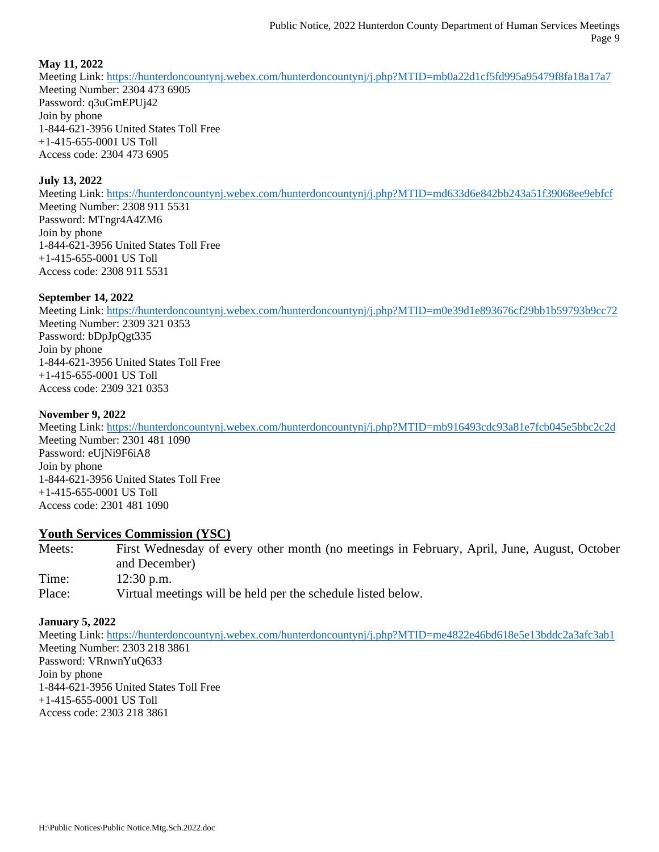## **May 11, 2022**

Meeting Link:<https://hunterdoncountynj.webex.com/hunterdoncountynj/j.php?MTID=mb0a22d1cf5fd995a95479f8fa18a17a7> Meeting Number: 2304 473 6905 Password: q3uGmEPUj42 Join by phone 1-844-621-3956 United States Toll Free +1-415-655-0001 US Toll Access code: 2304 473 6905

### **July 13, 2022**

Meeting Link:<https://hunterdoncountynj.webex.com/hunterdoncountynj/j.php?MTID=md633d6e842bb243a51f39068ee9ebfcf> Meeting Number: 2308 911 5531 Password: MTngr4A4ZM6 Join by phone 1-844-621-3956 United States Toll Free +1-415-655-0001 US Toll Access code: 2308 911 5531

### **September 14, 2022**

Meeting Link:<https://hunterdoncountynj.webex.com/hunterdoncountynj/j.php?MTID=m0e39d1e893676cf29bb1b59793b9cc72> Meeting Number: 2309 321 0353 Password: bDpJpQgt335 Join by phone 1-844-621-3956 United States Toll Free +1-415-655-0001 US Toll Access code: 2309 321 0353

### **November 9, 2022**

Meeting Link:<https://hunterdoncountynj.webex.com/hunterdoncountynj/j.php?MTID=mb916493cdc93a81e7fcb045e5bbc2c2d> Meeting Number: 2301 481 1090 Password: eUjNi9F6iA8 Join by phone 1-844-621-3956 United States Toll Free +1-415-655-0001 US Toll Access code: 2301 481 1090

### **Youth Services Commission (YSC)**

Meets: First Wednesday of every other month (no meetings in February, April, June, August, October and December) Time: 12:30 p.m. Place: Virtual meetings will be held per the schedule listed below.

### **January 5, 2022**

Meeting Link:<https://hunterdoncountynj.webex.com/hunterdoncountynj/j.php?MTID=me4822e46bd618e5e13bddc2a3afc3ab1> Meeting Number: 2303 218 3861 Password: VRnwnYuQ633 Join by phone 1-844-621-3956 United States Toll Free +1-415-655-0001 US Toll Access code: 2303 218 3861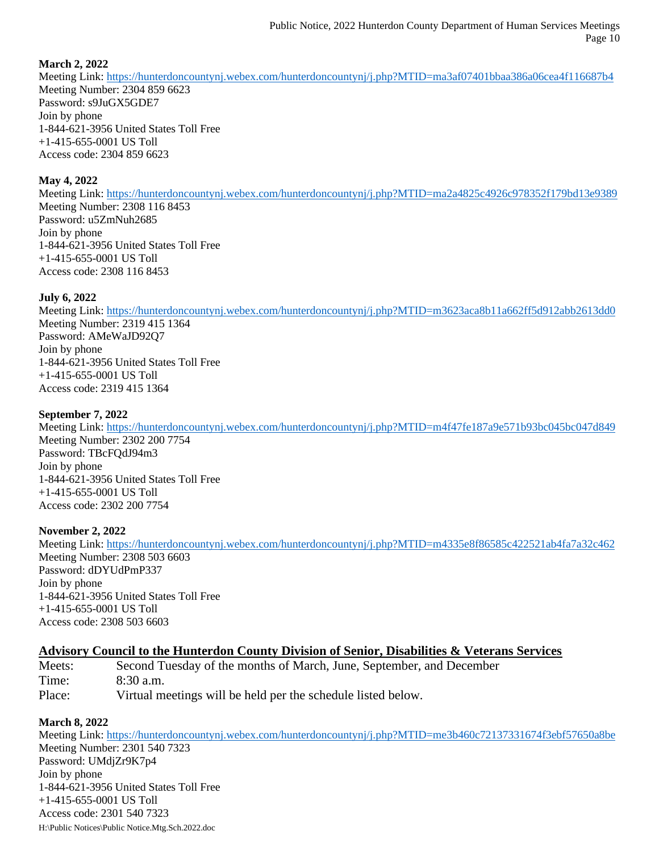## **March 2, 2022**

Meeting Link: <https://hunterdoncountynj.webex.com/hunterdoncountynj/j.php?MTID=ma3af07401bbaa386a06cea4f116687b4> Meeting Number: 2304 859 6623 Password: s9JuGX5GDE7 Join by phone 1-844-621-3956 United States Toll Free +1-415-655-0001 US Toll Access code: 2304 859 6623

### **May 4, 2022**

Meeting Link:<https://hunterdoncountynj.webex.com/hunterdoncountynj/j.php?MTID=ma2a4825c4926c978352f179bd13e9389> Meeting Number: 2308 116 8453 Password: u5ZmNuh2685 Join by phone 1-844-621-3956 United States Toll Free +1-415-655-0001 US Toll Access code: 2308 116 8453

### **July 6, 2022**

Meeting Link:<https://hunterdoncountynj.webex.com/hunterdoncountynj/j.php?MTID=m3623aca8b11a662ff5d912abb2613dd0> Meeting Number: 2319 415 1364 Password: AMeWaJD92Q7 Join by phone 1-844-621-3956 United States Toll Free +1-415-655-0001 US Toll Access code: 2319 415 1364

### **September 7, 2022**

Meeting Link:<https://hunterdoncountynj.webex.com/hunterdoncountynj/j.php?MTID=m4f47fe187a9e571b93bc045bc047d849> Meeting Number: 2302 200 7754 Password: TBcFQdJ94m3 Join by phone 1-844-621-3956 United States Toll Free +1-415-655-0001 US Toll Access code: 2302 200 7754

### **November 2, 2022**

Meeting Link: <https://hunterdoncountynj.webex.com/hunterdoncountynj/j.php?MTID=m4335e8f86585c422521ab4fa7a32c462> Meeting Number: 2308 503 6603 Password: dDYUdPmP337 Join by phone 1-844-621-3956 United States Toll Free +1-415-655-0001 US Toll Access code: 2308 503 6603

# **Advisory Council to the Hunterdon County Division of Senior, Disabilities & Veterans Services**

Meets: Second Tuesday of the months of March, June, September, and December Time: 8:30 a.m. Place: Virtual meetings will be held per the schedule listed below.

### **March 8, 2022**

H:\Public Notices\Public Notice.Mtg.Sch.2022.doc Meeting Link: <https://hunterdoncountynj.webex.com/hunterdoncountynj/j.php?MTID=me3b460c72137331674f3ebf57650a8be> Meeting Number: 2301 540 7323 Password: UMdjZr9K7p4 Join by phone 1-844-621-3956 United States Toll Free +1-415-655-0001 US Toll Access code: 2301 540 7323